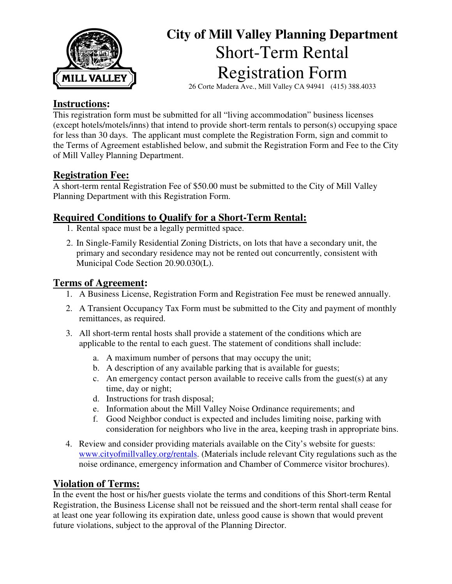

# **City of Mill Valley Planning Department**  Short-Term Rental Registration Form

26 Corte Madera Ave., Mill Valley CA 94941 (415) 388.4033

## **Instructions:**

This registration form must be submitted for all "living accommodation" business licenses (except hotels/motels/inns) that intend to provide short-term rentals to person(s) occupying space for less than 30 days. The applicant must complete the Registration Form, sign and commit to the Terms of Agreement established below, and submit the Registration Form and Fee to the City of Mill Valley Planning Department.

# **Registration Fee:**

A short-term rental Registration Fee of \$50.00 must be submitted to the City of Mill Valley Planning Department with this Registration Form.

# **Required Conditions to Qualify for a Short-Term Rental:**

- 1. Rental space must be a legally permitted space.
- 2. In Single-Family Residential Zoning Districts, on lots that have a secondary unit, the primary and secondary residence may not be rented out concurrently, consistent with Municipal Code Section 20.90.030(L).

### **Terms of Agreement:**

- 1. A Business License, Registration Form and Registration Fee must be renewed annually.
- 2. A Transient Occupancy Tax Form must be submitted to the City and payment of monthly remittances, as required.
- 3. All short-term rental hosts shall provide a statement of the conditions which are applicable to the rental to each guest. The statement of conditions shall include:
	- a. A maximum number of persons that may occupy the unit;
	- b. A description of any available parking that is available for guests;
	- c. An emergency contact person available to receive calls from the guest(s) at any time, day or night;
	- d. Instructions for trash disposal;
	- e. Information about the Mill Valley Noise Ordinance requirements; and
	- f. Good Neighbor conduct is expected and includes limiting noise, parking with consideration for neighbors who live in the area, keeping trash in appropriate bins.
- 4. Review and consider providing materials available on the City's website for guests: www.cityofmillvalley.org/rentals. (Materials include relevant City regulations such as the noise ordinance, emergency information and Chamber of Commerce visitor brochures).

# **Violation of Terms:**

In the event the host or his/her guests violate the terms and conditions of this Short-term Rental Registration, the Business License shall not be reissued and the short-term rental shall cease for at least one year following its expiration date, unless good cause is shown that would prevent future violations, subject to the approval of the Planning Director.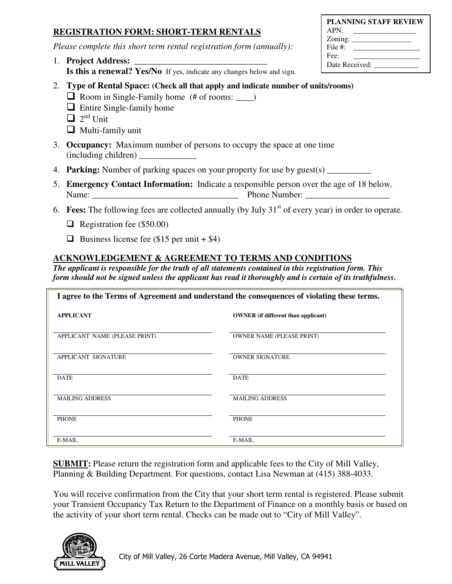### **REGISTRATION FORM: SHORT-TERM RENTALS**

*Please complete this short term rental registration form (annually):* 

1. **Project Address: Is this a renewal? Yes/No** If yes, indicate any changes below and sign.

| <b>PLANNING STAFF REVIEW</b> |  |  |  |  |  |
|------------------------------|--|--|--|--|--|
| APN:                         |  |  |  |  |  |
|                              |  |  |  |  |  |
| File $\#$                    |  |  |  |  |  |
| Fee:                         |  |  |  |  |  |
| Date Received:               |  |  |  |  |  |

- 2. **Type of Rental Space: (Check all that apply and indicate number of units/rooms)** 
	- $\Box$  Room in Single-Family home (# of rooms:  $\Box$ )
	- $\Box$  Entire Single-family home
	- $\Box$  2<sup>nd</sup> Unit
	- $\Box$  Multi-family unit
- 3. **Occupancy:** Maximum number of persons to occupy the space at one time (including children) \_\_\_\_\_\_\_\_\_\_\_\_\_
- 4. **Parking:** Number of parking spaces on your property for use by guest(s) \_\_\_\_\_\_\_\_\_\_\_
- 5. **Emergency Contact Information:** Indicate a responsible person over the age of 18 below. Name: The Blue School Phone Number:
- 6. **Fees:** The following fees are collected annually (by July 31st of every year) in order to operate.
	- $\Box$  Registration fee (\$50.00)
	- $\Box$  Business license fee (\$15 per unit + \$4)

### **ACKNOWLEDGEMENT & AGREEMENT TO TERMS AND CONDITIONS**

*The applicant is responsible for the truth of all statements contained in this registration form. This form should not be signed unless the applicant has read it thoroughly and is certain of its truthfulness.* 

| I agree to the Terms of Agreement and understand the consequences of violating these terms. |                                            |  |  |  |
|---------------------------------------------------------------------------------------------|--------------------------------------------|--|--|--|
| <b>APPLICANT</b>                                                                            | <b>OWNER</b> (if different than applicant) |  |  |  |
| APPLICANT NAME (PLEASE PRINT)                                                               | <b>OWNER NAME (PLEASE PRINT)</b>           |  |  |  |
| APPLICANT SIGNATURE                                                                         | <b>OWNER SIGNATURE</b>                     |  |  |  |
| <b>DATE</b>                                                                                 | <b>DATE</b>                                |  |  |  |
| <b>MAILING ADDRESS</b>                                                                      | <b>MAILING ADDRESS</b>                     |  |  |  |
| <b>PHONE</b>                                                                                | <b>PHONE</b>                               |  |  |  |
| E-MAIL                                                                                      | E-MAIL                                     |  |  |  |

**SUBMIT:** Please return the registration form and applicable fees to the City of Mill Valley, Planning & Building Department. For questions, contact Lisa Newman at (415) 388-4033.

You will receive confirmation from the City that your short term rental is registered. Please submit your Transient Occupancy Tax Return to the Department of Finance on a monthly basis or based on the activity of your short term rental. Checks can be made out to "City of Mill Valley".

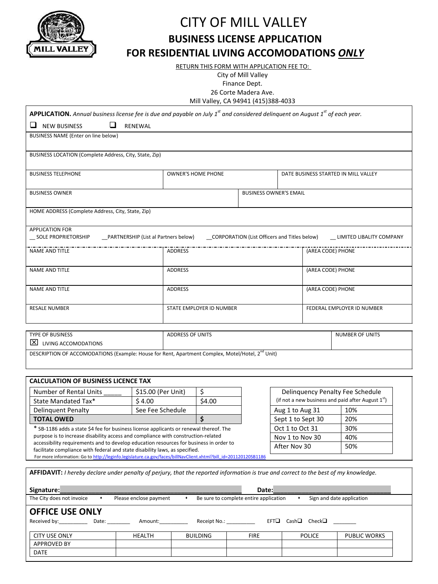

DATE

# CITY OF MILL VALLEY **BUSINESS LICENSE APPLICATION FOR RESIDENTIAL LIVING ACCOMODATIONS** *ONLY*

RETURN THIS FORM WITH APPLICATION FEE TO:

City of Mill Valley

Finance Dept.

26 Corte Madera Ave.

Mill Valley, CA 94941 (415)388-4033

| <b>APPLICATION.</b> Annual business license fee is due and payable on July 1 <sup>st</sup> and considered delinquent on August 1 <sup>st</sup> of each year.                                   |                                        |                                                                                                          |                                        |                   |                                      |  |
|------------------------------------------------------------------------------------------------------------------------------------------------------------------------------------------------|----------------------------------------|----------------------------------------------------------------------------------------------------------|----------------------------------------|-------------------|--------------------------------------|--|
| $\Box$<br>$\Box$<br><b>NEW BUSINESS</b>                                                                                                                                                        | RENEWAL                                |                                                                                                          |                                        |                   |                                      |  |
| BUSINESS NAME (Enter on line below)                                                                                                                                                            |                                        |                                                                                                          |                                        |                   |                                      |  |
|                                                                                                                                                                                                |                                        |                                                                                                          |                                        |                   |                                      |  |
| BUSINESS LOCATION (Complete Address, City, State, Zip)                                                                                                                                         |                                        |                                                                                                          |                                        |                   |                                      |  |
| <b>BUSINESS TELEPHONE</b>                                                                                                                                                                      |                                        | <b>OWNER'S HOME PHONE</b>                                                                                |                                        |                   | DATE BUSINESS STARTED IN MILL VALLEY |  |
|                                                                                                                                                                                                |                                        |                                                                                                          |                                        |                   |                                      |  |
| <b>BUSINESS OWNER</b>                                                                                                                                                                          |                                        | <b>BUSINESS OWNER'S EMAIL</b>                                                                            |                                        |                   |                                      |  |
| HOME ADDRESS (Complete Address, City, State, Zip)                                                                                                                                              |                                        |                                                                                                          |                                        |                   |                                      |  |
|                                                                                                                                                                                                |                                        |                                                                                                          |                                        |                   |                                      |  |
| <b>APPLICATION FOR</b>                                                                                                                                                                         |                                        |                                                                                                          |                                        |                   |                                      |  |
| SOLE PROPRIETORSHIP                                                                                                                                                                            | __PARTNERSHIP (List al Partners below) |                                                                                                          |                                        |                   |                                      |  |
| <b>NAME AND TITLE</b>                                                                                                                                                                          |                                        | ADDRESS                                                                                                  |                                        | (AREA CODE) PHONE |                                      |  |
|                                                                                                                                                                                                |                                        |                                                                                                          |                                        |                   |                                      |  |
| <b>NAME AND TITLE</b>                                                                                                                                                                          |                                        | ADDRESS                                                                                                  |                                        | (AREA CODE) PHONE |                                      |  |
| <b>NAME AND TITLE</b>                                                                                                                                                                          |                                        | <b>ADDRESS</b>                                                                                           |                                        |                   | (AREA CODE) PHONE                    |  |
|                                                                                                                                                                                                |                                        |                                                                                                          |                                        |                   |                                      |  |
| <b>RESALE NUMBER</b>                                                                                                                                                                           |                                        | STATE EMPLOYER ID NUMBER                                                                                 |                                        |                   | FEDERAL EMPLOYER ID NUMBER           |  |
|                                                                                                                                                                                                |                                        |                                                                                                          |                                        |                   |                                      |  |
| <b>TYPE OF BUSINESS</b>                                                                                                                                                                        |                                        | <b>ADDRESS OF UNITS</b>                                                                                  |                                        |                   | <b>NUMBER OF UNITS</b>               |  |
| $\boxed{\times}$ LIVING ACCOMODATIONS                                                                                                                                                          |                                        |                                                                                                          |                                        |                   |                                      |  |
| DESCRIPTION OF ACCOMODATIONS (Example: House for Rent, Apartment Complex, Motel/Hotel, 2 <sup>nd</sup> Unit)                                                                                   |                                        |                                                                                                          |                                        |                   |                                      |  |
|                                                                                                                                                                                                |                                        |                                                                                                          |                                        |                   |                                      |  |
|                                                                                                                                                                                                |                                        |                                                                                                          |                                        |                   |                                      |  |
| <b>CALCULATION OF BUSINESS LICENCE TAX</b>                                                                                                                                                     |                                        |                                                                                                          |                                        |                   |                                      |  |
| Number of Rental Units<br>State Mandated Tax*                                                                                                                                                  | \$15.00 (Per Unit)<br>\$4.00           | \$<br>Delinquency Penalty Fee Schedule<br>(if not a new business and paid after August $1st$ )<br>\$4.00 |                                        |                   |                                      |  |
| <b>Delinguent Penalty</b>                                                                                                                                                                      | See Fee Schedule                       |                                                                                                          | Aug 1 to Aug 31                        |                   | 10%                                  |  |
| \$<br><b>TOTAL OWED</b>                                                                                                                                                                        |                                        |                                                                                                          | Sept 1 to Sept 30                      | 20%               |                                      |  |
| * SB-1186 adds a state \$4 fee for business license applicants or renewal thereof. The                                                                                                         | Oct 1 to Oct 31                        |                                                                                                          |                                        | 30%               |                                      |  |
| purpose is to increase disability access and compliance with construction-related                                                                                                              |                                        |                                                                                                          |                                        | Nov 1 to Nov 30   | 40%                                  |  |
| accessibility requirements and to develop education resources for business in order to                                                                                                         |                                        |                                                                                                          | After Nov 30                           | 50%               |                                      |  |
| facilitate compliance with federal and state disability laws, as specified.<br>For more information: Go to http://leginfo.legislature.ca.gov/faces/billNavClient.xhtml?bill id=201120120SB1186 |                                        |                                                                                                          |                                        |                   |                                      |  |
|                                                                                                                                                                                                |                                        |                                                                                                          |                                        |                   |                                      |  |
| AFFIDAVIT: I hereby declare under penalty of perjury, that the reported information is true and correct to the best of my knowledge.                                                           |                                        |                                                                                                          |                                        |                   |                                      |  |
| Date:<br>Signature:                                                                                                                                                                            |                                        |                                                                                                          |                                        |                   |                                      |  |
| The City does not invoice<br>$\bullet$                                                                                                                                                         | Please enclose payment                 | $\bullet$                                                                                                | Be sure to complete entire application | $\bullet$         | Sign and date application            |  |
| <b>OFFICE USE ONLY</b>                                                                                                                                                                         |                                        |                                                                                                          |                                        |                   |                                      |  |
| Date: Amount:<br>EFT□ Cash□ Check□<br>Received by: Neceived by:<br>Receipt No.:                                                                                                                |                                        |                                                                                                          |                                        |                   |                                      |  |
| <b>CITY USE ONLY</b>                                                                                                                                                                           | HEALTH                                 | <b>BUILDING</b>                                                                                          | <b>FIRE</b>                            | <b>POLICE</b>     | <b>PUBLIC WORKS</b>                  |  |
| <b>APPROVED BY</b>                                                                                                                                                                             |                                        |                                                                                                          |                                        |                   |                                      |  |